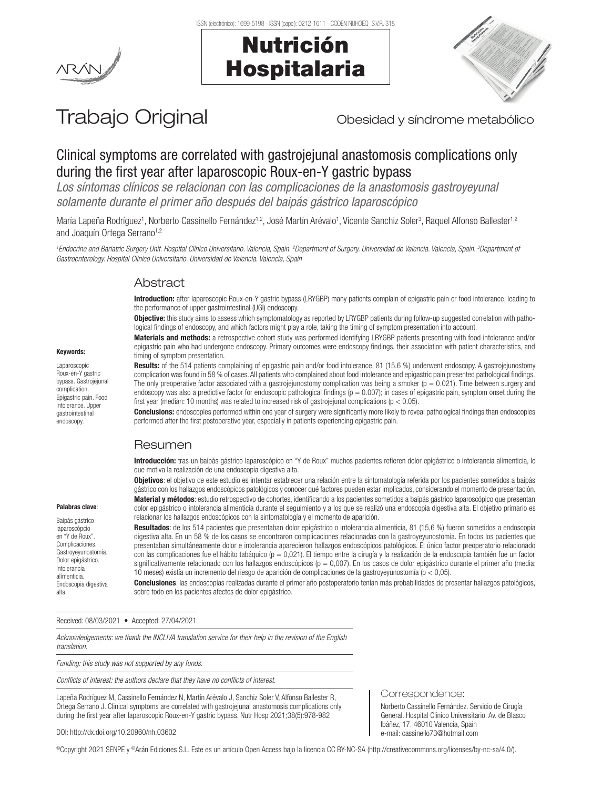





# Trabajo Original **Trabajo Original** Obesidad y síndrome metabólico

## Clinical symptoms are correlated with gastrojejunal anastomosis complications only during the first year after laparoscopic Roux-en-Y gastric bypass

*Los síntomas clínicos se relacionan con las complicaciones de la anastomosis gastroyeyunal solamente durante el primer año después del baipás gástrico laparoscópico*

María Lapeña Rodríguez<sup>1</sup>, Norberto Cassinello Fernández<sup>1,2</sup>, José Martín Arévalo<sup>1</sup>, Vicente Sanchiz Soler<sup>3</sup>, Raquel Alfonso Ballester<sup>1,2</sup> and Joaquín Ortega Serrano<sup>1,2</sup>

<sup>1</sup> Endocrine and Bariatric Surgery Unit. Hospital Clínico Universitario. Valencia, Spain. <sup>3</sup>Department of Surgery. Universidad de Valencia. Valencia, Spain. <sup>3</sup>Department of *Gastroenterology. Hospital Clínico Universitario. Universidad de Valencia. Valencia, Spain*

## **Abstract**

Introduction: after laparoscopic Roux-en-Y gastric bypass (LRYGBP) many patients complain of epigastric pain or food intolerance, leading to the performance of upper gastrointestinal (UGI) endoscopy.

Objective: this study aims to assess which symptomatology as reported by LRYGBP patients during follow-up suggested correlation with pathological findings of endoscopy, and which factors might play a role, taking the timing of symptom presentation into account.

Materials and methods: a retrospective cohort study was performed identifying LRYGBP patients presenting with food intolerance and/or epigastric pain who had undergone endoscopy. Primary outcomes were endoscopy findings, their association with patient characteristics, and timing of symptom presentation.

Results: of the 514 patients complaining of epigastric pain and/or food intolerance, 81 (15.6 %) underwent endoscopy. A gastroiejunostomy complication was found in 58 % of cases. All patients who complained about food intolerance and epigastric pain presented pathological findings. The only preoperative factor associated with a gastrojejunostomy complication was being a smoker  $(p = 0.021)$ . Time between surgery and endoscopy was also a predictive factor for endoscopic pathological findings ( $p = 0.007$ ); in cases of epigastric pain, symptom onset during the first year (median: 10 months) was related to increased risk of gastrojejunal complications ( $p < 0.05$ ).

Conclusions: endoscopies performed within one year of surgery were significantly more likely to reveal pathological findings than endoscopies performed after the first postoperative year, especially in patients experiencing epigastric pain.

## Resumen

Introducción: tras un baipás gástrico laparoscópico en "Y de Roux" muchos pacientes refieren dolor epigástrico o intolerancia alimenticia, lo que motiva la realización de una endoscopia digestiva alta.

Objetivos: el objetivo de este estudio es intentar establecer una relación entre la sintomatología referida por los pacientes sometidos a baipás gástrico con los hallazgos endoscópicos patológicos y conocer qué factores pueden estar implicados, considerando el momento de presentación. Material y métodos: estudio retrospectivo de cohortes, identificando a los pacientes sometidos a baipás gástrico laparoscópico que presentan dolor epigástrico o intolerancia alimenticia durante el seguimiento y a los que se realizó una endoscopia digestiva alta. El objetivo primario es relacionar los hallazgos endoscópicos con la sintomatología y el momento de aparición.

Resultados: de los 514 pacientes que presentaban dolor epigástrico o intolerancia alimenticia, 81 (15,6 %) fueron sometidos a endoscopia digestiva alta. En un 58 % de los casos se encontraron complicaciones relacionadas con la gastroyeyunostomía. En todos los pacientes que presentaban simultáneamente dolor e intolerancia aparecieron hallazgos endoscópicos patológicos. El único factor preoperatorio relacionado con las complicaciones fue el hábito tabáquico (p = 0,021). El tiempo entre la cirugía y la realización de la endoscopia también fue un factor significativamente relacionado con los hallazgos endoscópicos ( $p = 0.007$ ). En los casos de dolor epigástrico durante el primer año (media: 10 meses) existía un incremento del riesgo de aparición de complicaciones de la gastroyeyunostomía (p < 0,05).

Conclusiones: las endoscopias realizadas durante el primer año postoperatorio tenían más probabilidades de presentar hallazgos patológicos, sobre todo en los pacientes afectos de dolor epigástrico.

Received: 08/03/2021 • Accepted: 27/04/2021

*Acknowledgements: we thank the INCLIVA translation service for their help in the revision of the English translation.*

*Funding: this study was not supported by any funds.*

*Conflicts of interest: the authors declare that they have no conflicts of interest.*

Lapeña Rodríguez M, Cassinello Fernández N, Martín Arévalo J, Sanchiz Soler V, Alfonso Ballester R, Ortega Serrano J. Clinical symptoms are correlated with gastrojejunal anastomosis complications only during the first year after laparoscopic Roux-en-Y gastric bypass. Nutr Hosp 2021;38(5):978-982

#### Correspondence:

Norberto Cassinello Fernández. Servicio de Cirugía General. Hospital Clínico Universitario. Av. de Blasco Ibáñez, 17. 46010 Valencia, Spain e-mail: cassinello73@hotmail.com

DOI: http://dx.doi.org/10.20960/nh.03602

©Copyright 2021 SENPE y ©Arán Ediciones S.L. Este es un artículo Open Access bajo la licencia CC BY-NC-SA (http://creativecommons.org/licenses/by-nc-sa/4.0/).

## Keywords:

Laparoscopic Roux-en-Y gastric bypass. Gastrojejunal complication. Epigastric pain. Food intolerance. Upper gastrointestinal endoscopy.

Palabras clave: Baipás gástrico laparoscópcio en "Y de Roux". Complicaciones. Gastroyeyunostomía. Dolor epigástrico. Intolerancia alimenticia. Endoscopia digestiva

alta.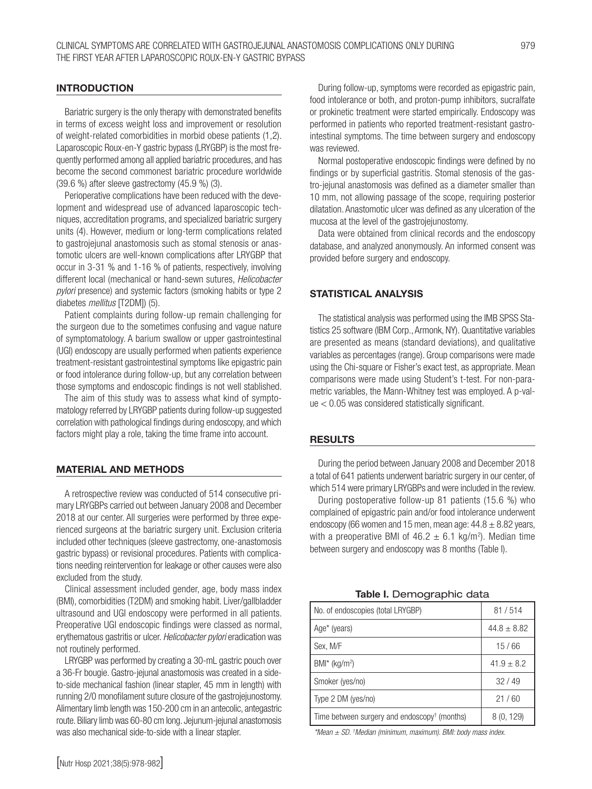#### INTRODUCTION

Bariatric surgery is the only therapy with demonstrated benefits in terms of excess weight loss and improvement or resolution of weight-related comorbidities in morbid obese patients (1,2). Laparoscopic Roux-en-Y gastric bypass (LRYGBP) is the most frequently performed among all applied bariatric procedures, and has become the second commonest bariatric procedure worldwide (39.6 %) after sleeve gastrectomy (45.9 %) (3).

Perioperative complications have been reduced with the development and widespread use of advanced laparoscopic techniques, accreditation programs, and specialized bariatric surgery units (4). However, medium or long-term complications related to gastrojejunal anastomosis such as stomal stenosis or anastomotic ulcers are well-known complications after LRYGBP that occur in 3-31 % and 1-16 % of patients, respectively, involving different local (mechanical or hand-sewn sutures, *Helicobacter pylori* presence) and systemic factors (smoking habits or type 2 diabetes *mellitus* [T2DM]) (5).

Patient complaints during follow-up remain challenging for the surgeon due to the sometimes confusing and vague nature of symptomatology. A barium swallow or upper gastrointestinal (UGI) endoscopy are usually performed when patients experience treatment-resistant gastrointestinal symptoms like epigastric pain or food intolerance during follow-up, but any correlation between those symptoms and endoscopic findings is not well stablished.

The aim of this study was to assess what kind of symptomatology referred by LRYGBP patients during follow-up suggested correlation with pathological findings during endoscopy, and which factors might play a role, taking the time frame into account.

#### MATERIAL AND METHODS

A retrospective review was conducted of 514 consecutive primary LRYGBPs carried out between January 2008 and December 2018 at our center. All surgeries were performed by three experienced surgeons at the bariatric surgery unit. Exclusion criteria included other techniques (sleeve gastrectomy, one-anastomosis gastric bypass) or revisional procedures. Patients with complications needing reintervention for leakage or other causes were also excluded from the study.

Clinical assessment included gender, age, body mass index (BMI), comorbidities (T2DM) and smoking habit. Liver/gallbladder ultrasound and UGI endoscopy were performed in all patients. Preoperative UGI endoscopic findings were classed as normal, erythematous gastritis or ulcer. *Helicobacter pylori* eradication was not routinely performed.

LRYGBP was performed by creating a 30-mL gastric pouch over a 36-Fr bougie. Gastro-jejunal anastomosis was created in a sideto-side mechanical fashion (linear stapler, 45 mm in length) with running 2/0 monofilament suture closure of the gastrojejunostomy. Alimentary limb length was 150-200 cm in an antecolic, antegastric route. Biliary limb was 60-80 cm long. Jejunum-jejunal anastomosis was also mechanical side-to-side with a linear stapler.

During follow-up, symptoms were recorded as epigastric pain, food intolerance or both, and proton-pump inhibitors, sucralfate or prokinetic treatment were started empirically. Endoscopy was performed in patients who reported treatment-resistant gastrointestinal symptoms. The time between surgery and endoscopy was reviewed.

Normal postoperative endoscopic findings were defined by no findings or by superficial gastritis. Stomal stenosis of the gastro-jejunal anastomosis was defined as a diameter smaller than 10 mm, not allowing passage of the scope, requiring posterior dilatation. Anastomotic ulcer was defined as any ulceration of the mucosa at the level of the gastrojejunostomy.

Data were obtained from clinical records and the endoscopy database, and analyzed anonymously. An informed consent was provided before surgery and endoscopy.

#### STATISTICAL ANALYSIS

The statistical analysis was performed using the IMB SPSS Statistics 25 software (IBM Corp., Armonk, NY). Quantitative variables are presented as means (standard deviations), and qualitative variables as percentages (range). Group comparisons were made using the Chi-square or Fisher's exact test, as appropriate. Mean comparisons were made using Student's t-test. For non-parametric variables, the Mann-Whitney test was employed. A p-value < 0.05 was considered statistically significant.

#### RESULTS

During the period between January 2008 and December 2018 a total of 641 patients underwent bariatric surgery in our center, of which 514 were primary LRYGBPs and were included in the review.

During postoperative follow-up 81 patients (15.6 %) who complained of epigastric pain and/or food intolerance underwent endoscopy (66 women and 15 men, mean age:  $44.8 \pm 8.82$  years, with a preoperative BMI of  $46.2 \pm 6.1$  kg/m<sup>2</sup>). Median time between surgery and endoscopy was 8 months (Table I).

Table I. Demographic data

| No. of endoscopies (total LRYGBP)                        | 81/514          |
|----------------------------------------------------------|-----------------|
| Age* (years)                                             | $44.8 \pm 8.82$ |
| Sex, M/F                                                 | 15/66           |
| $BMI^*$ (kg/m <sup>2</sup> )                             | $41.9 \pm 8.2$  |
| Smoker (yes/no)                                          | 32/49           |
| Type 2 DM (yes/no)                                       | 21/60           |
| Time between surgery and endoscopy <sup>†</sup> (months) | 8(0, 129)       |

*\*Mean ± SD. † Median (minimum, maximum). BMI: body mass index.*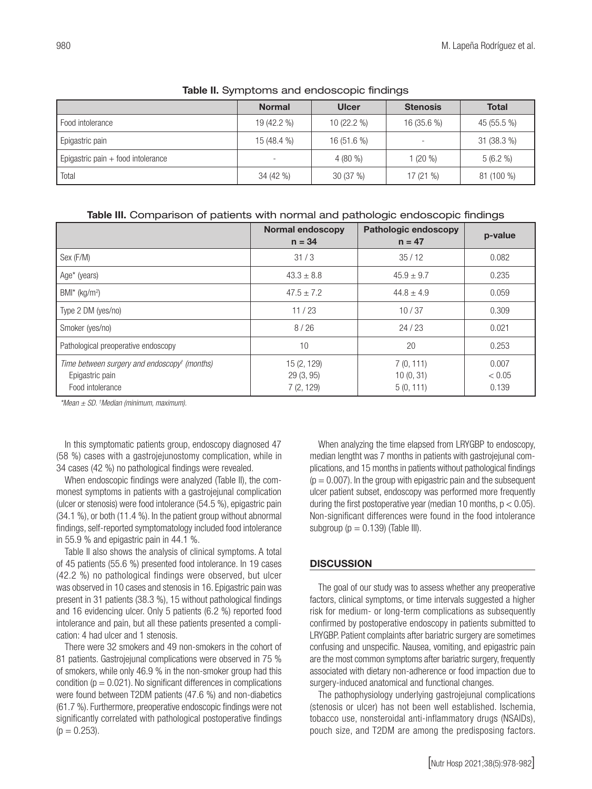|                                      | <b>Normal</b> | <b>Ulcer</b> | <b>Stenosis</b>          | <b>Total</b> |  |
|--------------------------------------|---------------|--------------|--------------------------|--------------|--|
| Food intolerance                     | 19 (42.2 %)   | $10(22.2\%)$ | $16(35.6\%)$             | 45 (55.5 %)  |  |
| Epigastric pain                      | 15 (48.4 %)   | $16(51.6\%)$ | $\overline{\phantom{a}}$ | $31(38.3\%)$ |  |
| Epigastric pain $+$ food intolerance | ۰             | $4(80\%$     | $1(20\%)$                | 5(6.2%       |  |
| Total                                | 34 (42 %)     | 30(37%)      | 17(21%                   | 81 (100 %)   |  |

#### Table II. Symptoms and endoscopic findings

Table III. Comparison of patients with normal and pathologic endoscopic findings

|                                                                                                 | <b>Normal endoscopy</b><br>$n = 34$   | <b>Pathologic endoscopy</b><br>$n = 47$ | p-value                  |
|-------------------------------------------------------------------------------------------------|---------------------------------------|-----------------------------------------|--------------------------|
| Sex (F/M)                                                                                       | 31/3                                  | 35/12                                   | 0.082                    |
| Age* (years)                                                                                    | $43.3 \pm 8.8$                        | $45.9 \pm 9.7$                          | 0.235                    |
| $BMI^*$ (kg/m <sup>2</sup> )                                                                    | $47.5 \pm 7.2$                        | $44.8 \pm 4.9$                          | 0.059                    |
| Type 2 DM (yes/no)                                                                              | 11/23                                 | 10/37                                   | 0.309                    |
| Smoker (yes/no)                                                                                 | 8/26                                  | 24/23                                   | 0.021                    |
| Pathological preoperative endoscopy                                                             | 10                                    | 20                                      | 0.253                    |
| Time between surgery and endoscopy <sup>t</sup> (months)<br>Epigastric pain<br>Food intolerance | 15 (2, 129)<br>29(3, 95)<br>7(2, 129) | 7(0, 111)<br>10(0, 31)<br>5(0, 111)     | 0.007<br>< 0.05<br>0.139 |

*\*Mean ± SD. † Median (minimum, maximum).* 

In this symptomatic patients group, endoscopy diagnosed 47 (58 %) cases with a gastrojejunostomy complication, while in 34 cases (42 %) no pathological findings were revealed.

When endoscopic findings were analyzed (Table II), the commonest symptoms in patients with a gastrojejunal complication (ulcer or stenosis) were food intolerance (54.5 %), epigastric pain (34.1 %), or both (11.4 %). In the patient group without abnormal findings, self-reported symptomatology included food intolerance in 55.9 % and epigastric pain in 44.1 %.

Table II also shows the analysis of clinical symptoms. A total of 45 patients (55.6 %) presented food intolerance. In 19 cases (42.2 %) no pathological findings were observed, but ulcer was observed in 10 cases and stenosis in 16. Epigastric pain was present in 31 patients (38.3 %), 15 without pathological findings and 16 evidencing ulcer. Only 5 patients (6.2 %) reported food intolerance and pain, but all these patients presented a complication: 4 had ulcer and 1 stenosis.

There were 32 smokers and 49 non-smokers in the cohort of 81 patients. Gastrojejunal complications were observed in 75 % of smokers, while only 46.9 % in the non-smoker group had this condition ( $p = 0.021$ ). No significant differences in complications were found between T2DM patients (47.6 %) and non-diabetics (61.7 %). Furthermore, preoperative endoscopic findings were not significantly correlated with pathological postoperative findings  $(p = 0.253)$ .

When analyzing the time elapsed from LRYGBP to endoscopy, median lengtht was 7 months in patients with gastrojejunal complications, and 15 months in patients without pathological findings  $(p = 0.007)$ . In the group with epigastric pain and the subsequent ulcer patient subset, endoscopy was performed more frequently during the first postoperative year (median 10 months,  $p < 0.05$ ). Non-significant differences were found in the food intolerance subgroup ( $p = 0.139$ ) (Table III).

## **DISCUSSION**

The goal of our study was to assess whether any preoperative factors, clinical symptoms, or time intervals suggested a higher risk for medium- or long-term complications as subsequently confirmed by postoperative endoscopy in patients submitted to LRYGBP. Patient complaints after bariatric surgery are sometimes confusing and unspecific. Nausea, vomiting, and epigastric pain are the most common symptoms after bariatric surgery, frequently associated with dietary non-adherence or food impaction due to surgery-induced anatomical and functional changes.

The pathophysiology underlying gastrojejunal complications (stenosis or ulcer) has not been well established. Ischemia, tobacco use, nonsteroidal anti-inflammatory drugs (NSAIDs), pouch size, and T2DM are among the predisposing factors.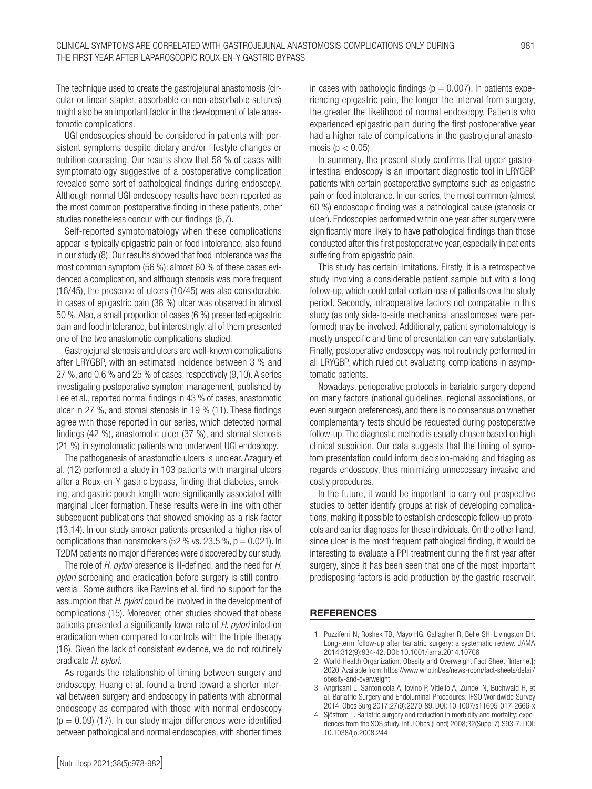The technique used to create the gastrojejunal anastomosis (circular or linear stapler, absorbable on non-absorbable sutures) might also be an important factor in the development of late anastomotic complications.

UGI endoscopies should be considered in patients with persistent symptoms despite dietary and/or lifestyle changes or nutrition counseling. Our results show that 58 % of cases with symptomatology suggestive of a postoperative complication revealed some sort of pathological findings during endoscopy. Although normal UGI endoscopy results have been reported as the most common postoperative finding in these patients, other studies nonetheless concur with our findings (6,7).

Self-reported symptomatology when these complications appear is typically epigastric pain or food intolerance, also found in our study (8). Our results showed that food intolerance was the most common symptom (56 %): almost 60 % of these cases evidenced a complication, and although stenosis was more frequent (16/45), the presence of ulcers (10/45) was also considerable. In cases of epigastric pain (38 %) ulcer was observed in almost 50 %. Also, a small proportion of cases (6 %) presented epigastric pain and food intolerance, but interestingly, all of them presented one of the two anastomotic complications studied.

Gastrojejunal stenosis and ulcers are well-known complications after LRYGBP, with an estimated incidence between 3 % and 27 %, and 0.6 % and 25 % of cases, respectively (9,10). A series investigating postoperative symptom management, published by Lee et al., reported normal findings in 43 % of cases, anastomotic ulcer in 27 %, and stomal stenosis in 19 % (11). These findings agree with those reported in our series, which detected normal findings (42 %), anastomotic ulcer (37 %), and stomal stenosis (21 %) in symptomatic patients who underwent UGI endoscopy.

The pathogenesis of anastomotic ulcers is unclear. Azagury et al. (12) performed a study in 103 patients with marginal ulcers after a Roux-en-Y gastric bypass, finding that diabetes, smoking, and gastric pouch length were significantly associated with marginal ulcer formation. These results were in line with other subsequent publications that showed smoking as a risk factor (13,14). In our study smoker patients presented a higher risk of complications than nonsmokers (52 % vs. 23.5 %,  $p = 0.021$ ). In T2DM patients no major differences were discovered by our study.

The role of *H. pylori* presence is ill-defined, and the need for *H. pylori* screening and eradication before surgery is still controversial. Some authors like Rawlins et al. find no support for the assumption that *H. pylori* could be involved in the development of complications (15). Moreover, other studies showed that obese patients presented a significantly lower rate of *H. pylori* infection eradication when compared to controls with the triple therapy (16). Given the lack of consistent evidence, we do not routinely eradicate *H. pylori*.

As regards the relationship of timing between surgery and endoscopy, Huang et al. found a trend toward a shorter interval between surgery and endoscopy in patients with abnormal endoscopy as compared with those with normal endoscopy  $(p = 0.09)$  (17). In our study major differences were identified between pathological and normal endoscopies, with shorter times

in cases with pathologic findings ( $p = 0.007$ ). In patients experiencing epigastric pain, the longer the interval from surgery, the greater the likelihood of normal endoscopy. Patients who experienced epigastric pain during the first postoperative year had a higher rate of complications in the gastrojejunal anastomosis ( $p < 0.05$ ).

In summary, the present study confirms that upper gastrointestinal endoscopy is an important diagnostic tool in LRYGBP patients with certain postoperative symptoms such as epigastric pain or food intolerance. In our series, the most common (almost 60 %) endoscopic finding was a pathological cause (stenosis or ulcer). Endoscopies performed within one year after surgery were significantly more likely to have pathological findings than those conducted after this first postoperative year, especially in patients suffering from epigastric pain.

This study has certain limitations. Firstly, it is a retrospective study involving a considerable patient sample but with a long follow-up, which could entail certain loss of patients over the study period. Secondly, intraoperative factors not comparable in this study (as only side-to-side mechanical anastomoses were performed) may be involved. Additionally, patient symptomatology is mostly unspecific and time of presentation can vary substantially. Finally, postoperative endoscopy was not routinely performed in all LRYGBP, which ruled out evaluating complications in asymptomatic patients.

Nowadays, perioperative protocols in bariatric surgery depend on many factors (national guidelines, regional associations, or even surgeon preferences), and there is no consensus on whether complementary tests should be requested during postoperative follow-up. The diagnostic method is usually chosen based on high clinical suspicion. Our data suggests that the timing of symptom presentation could inform decision-making and triaging as regards endoscopy, thus minimizing unnecessary invasive and costly procedures.

In the future, it would be important to carry out prospective studies to better identify groups at risk of developing complications, making it possible to establish endoscopic follow-up protocols and earlier diagnoses for these individuals. On the other hand, since ulcer is the most frequent pathological finding, it would be interesting to evaluate a PPI treatment during the first year after surgery, since it has been seen that one of the most important predisposing factors is acid production by the gastric reservoir.

#### **REFERENCES**

- 1. Puzziferri N, Roshek TB, Mayo HG, Gallagher R, Belle SH, Livingston EH. Long-term follow-up after bariatric surgery: a systematic review. JAMA 2014;312(9):934-42. DOI: 10.1001/jama.2014.10706
- 2. World Health Organization. Obesity and Overweight Fact Sheet [Internet]; 2020. Available from: https://www.who.int/es/news-room/fact-sheets/detail/ obesity-and-overweight
- 3. Angrisani L, Santonicola A, Iovino P, Vitiello A, Zundel N, Buchwald H, et al. Bariatric Surgery and Endoluminal Procedures: IFSO Worldwide Survey 2014. Obes Surg 2017;27(9):2279-89. DOI: 10.1007/s11695-017-2666-x
- 4. Sjöström L. Bariatric surgery and reduction in morbidity and mortality: experiences from the SOS study. Int J Obes (Lond) 2008;32(Suppl 7):S93-7. DOI: 10.1038/ijo.2008.244